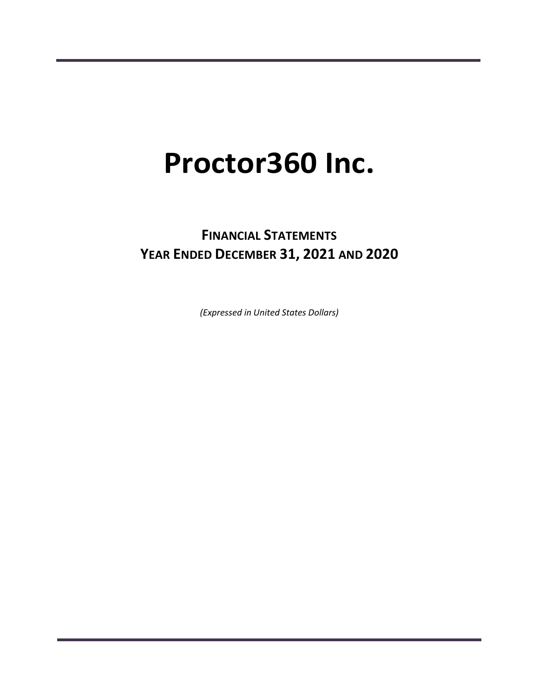# **Proctor360 Inc.**

# **FINANCIAL STATEMENTS YEAR ENDED DECEMBER 31, 2021 AND 2020**

*(Expressed in United States Dollars)*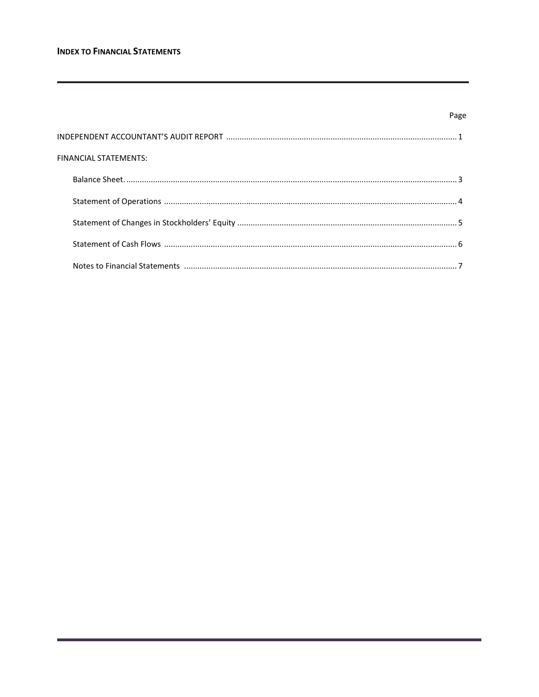# **INDEX TO FINANCIAL STATEMENTS**

|                              | Page |
|------------------------------|------|
|                              |      |
| <b>FINANCIAL STATEMENTS:</b> |      |
|                              |      |
|                              |      |
|                              |      |
|                              |      |
|                              |      |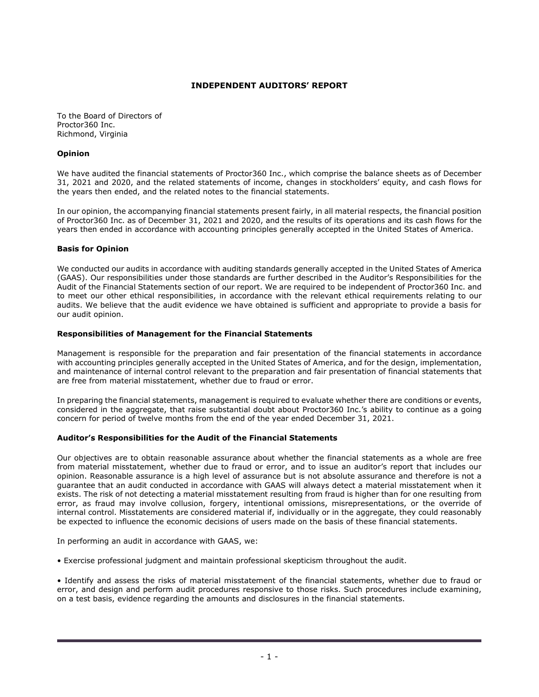#### **INDEPENDENT AUDITORS' REPORT**

To the Board of Directors of Proctor360 Inc. Richmond, Virginia

#### **Opinion**

We have audited the financial statements of Proctor360 Inc., which comprise the balance sheets as of December 31, 2021 and 2020, and the related statements of income, changes in stockholders' equity, and cash flows for the years then ended, and the related notes to the financial statements.

In our opinion, the accompanying financial statements present fairly, in all material respects, the financial position of Proctor360 Inc. as of December 31, 2021 and 2020, and the results of its operations and its cash flows for the years then ended in accordance with accounting principles generally accepted in the United States of America.

#### **Basis for Opinion**

We conducted our audits in accordance with auditing standards generally accepted in the United States of America (GAAS). Our responsibilities under those standards are further described in the Auditor's Responsibilities for the Audit of the Financial Statements section of our report. We are required to be independent of Proctor360 Inc. and to meet our other ethical responsibilities, in accordance with the relevant ethical requirements relating to our audits. We believe that the audit evidence we have obtained is sufficient and appropriate to provide a basis for our audit opinion.

#### **Responsibilities of Management for the Financial Statements**

Management is responsible for the preparation and fair presentation of the financial statements in accordance with accounting principles generally accepted in the United States of America, and for the design, implementation, and maintenance of internal control relevant to the preparation and fair presentation of financial statements that are free from material misstatement, whether due to fraud or error.

In preparing the financial statements, management is required to evaluate whether there are conditions or events, considered in the aggregate, that raise substantial doubt about Proctor360 Inc.'s ability to continue as a going concern for period of twelve months from the end of the year ended December 31, 2021.

#### **Auditor's Responsibilities for the Audit of the Financial Statements**

Our objectives are to obtain reasonable assurance about whether the financial statements as a whole are free from material misstatement, whether due to fraud or error, and to issue an auditor's report that includes our opinion. Reasonable assurance is a high level of assurance but is not absolute assurance and therefore is not a guarantee that an audit conducted in accordance with GAAS will always detect a material misstatement when it exists. The risk of not detecting a material misstatement resulting from fraud is higher than for one resulting from error, as fraud may involve collusion, forgery, intentional omissions, misrepresentations, or the override of internal control. Misstatements are considered material if, individually or in the aggregate, they could reasonably be expected to influence the economic decisions of users made on the basis of these financial statements.

In performing an audit in accordance with GAAS, we:

• Exercise professional judgment and maintain professional skepticism throughout the audit.

• Identify and assess the risks of material misstatement of the financial statements, whether due to fraud or error, and design and perform audit procedures responsive to those risks. Such procedures include examining, on a test basis, evidence regarding the amounts and disclosures in the financial statements.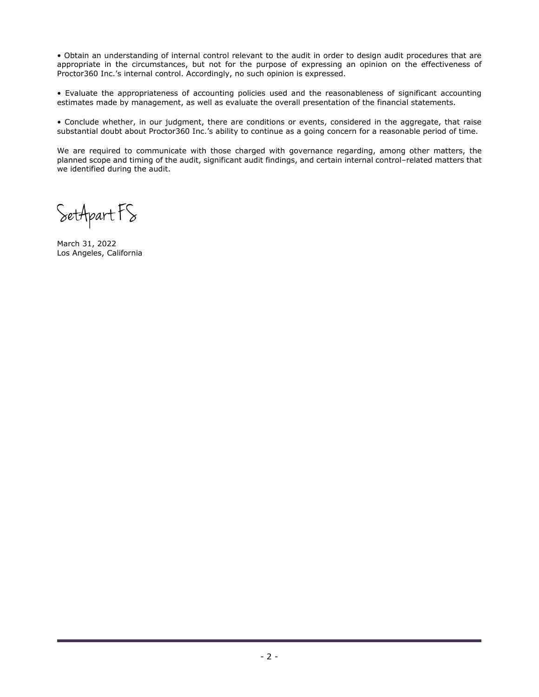• Obtain an understanding of internal control relevant to the audit in order to design audit procedures that are appropriate in the circumstances, but not for the purpose of expressing an opinion on the effectiveness of Proctor360 Inc.'s internal control. Accordingly, no such opinion is expressed.

• Evaluate the appropriateness of accounting policies used and the reasonableness of significant accounting estimates made by management, as well as evaluate the overall presentation of the financial statements.

• Conclude whether, in our judgment, there are conditions or events, considered in the aggregate, that raise substantial doubt about Proctor360 Inc.'s ability to continue as a going concern for a reasonable period of time.

We are required to communicate with those charged with governance regarding, among other matters, the planned scope and timing of the audit, significant audit findings, and certain internal control–related matters that we identified during the audit.

SetApart FS

March 31, 2022 Los Angeles, California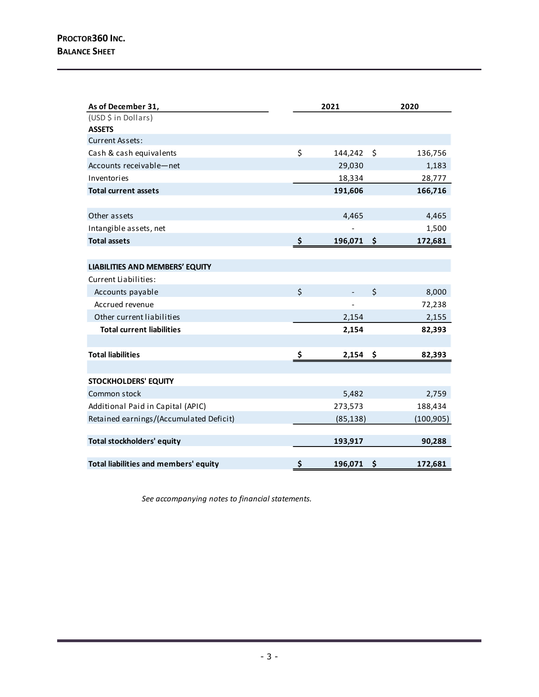| As of December 31,                      | 2021                |            |    | 2020       |  |  |
|-----------------------------------------|---------------------|------------|----|------------|--|--|
| (USD \$ in Dollars)                     |                     |            |    |            |  |  |
| <b>ASSETS</b>                           |                     |            |    |            |  |  |
| <b>Current Assets:</b>                  |                     |            |    |            |  |  |
| Cash & cash equivalents                 | \$                  | 144,242    | \$ | 136,756    |  |  |
| Accounts receivable-net                 |                     | 29,030     |    | 1,183      |  |  |
| Inventories                             |                     | 18,334     |    | 28,777     |  |  |
| <b>Total current assets</b>             |                     | 191,606    |    | 166,716    |  |  |
|                                         |                     |            |    |            |  |  |
| Other assets                            |                     | 4,465      |    | 4,465      |  |  |
| Intangible assets, net                  |                     |            |    | 1,500      |  |  |
| <b>Total assets</b>                     | \$                  | 196,071    | \$ | 172,681    |  |  |
|                                         |                     |            |    |            |  |  |
| <b>LIABILITIES AND MEMBERS' EQUITY</b>  |                     |            |    |            |  |  |
| Current Liabilities:                    |                     |            |    |            |  |  |
| Accounts payable                        | \$                  |            | \$ | 8,000      |  |  |
| Accrued revenue                         |                     |            |    | 72,238     |  |  |
| Other current liabilities               |                     | 2,154      |    | 2,155      |  |  |
| <b>Total current liabilities</b>        |                     | 2,154      |    | 82,393     |  |  |
|                                         |                     |            |    |            |  |  |
| <b>Total liabilities</b>                | $\ddot{\bm{\zeta}}$ | $2,154$ \$ |    | 82,393     |  |  |
|                                         |                     |            |    |            |  |  |
| STOCKHOLDERS' EQUITY                    |                     |            |    |            |  |  |
| Common stock                            |                     | 5,482      |    | 2,759      |  |  |
| Additional Paid in Capital (APIC)       |                     | 273,573    |    | 188,434    |  |  |
| Retained earnings/(Accumulated Deficit) |                     | (85, 138)  |    | (100, 905) |  |  |
|                                         |                     |            |    |            |  |  |
| <b>Total stockholders' equity</b>       |                     | 193,917    |    | 90,288     |  |  |
| Total liabilities and members' equity   | \$                  | 196,071    | \$ | 172,681    |  |  |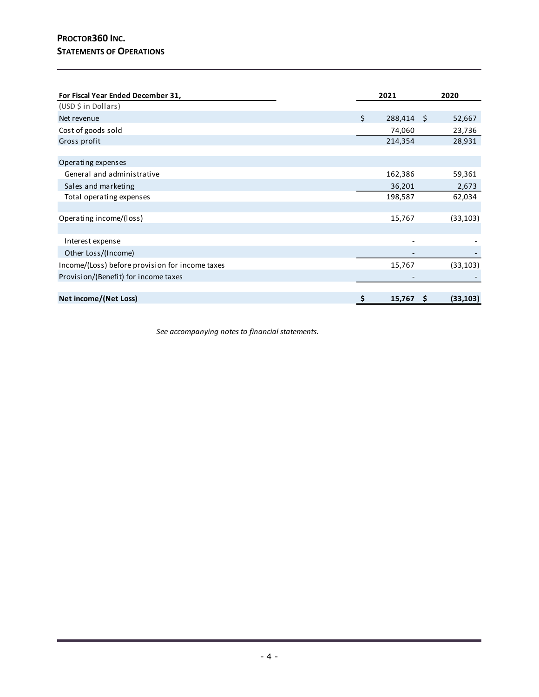# **PROCTOR360 INC. STATEMENTS OF OPERATIONS**

| For Fiscal Year Ended December 31,              | 2021 |         |      | 2020      |
|-------------------------------------------------|------|---------|------|-----------|
| (USD \$ in Dollars)                             |      |         |      |           |
| Net revenue                                     | \$   | 288,414 | - \$ | 52,667    |
| Cost of goods sold                              |      | 74,060  |      | 23,736    |
| Gross profit                                    |      | 214,354 |      | 28,931    |
|                                                 |      |         |      |           |
| Operating expenses                              |      |         |      |           |
| General and administrative                      |      | 162,386 |      | 59,361    |
| Sales and marketing                             |      | 36,201  |      | 2,673     |
| Total operating expenses                        |      | 198,587 |      | 62,034    |
|                                                 |      |         |      |           |
| Operating income/(loss)                         |      | 15,767  |      | (33, 103) |
|                                                 |      |         |      |           |
| Interest expense                                |      |         |      |           |
| Other Loss/(Income)                             |      |         |      |           |
| Income/(Loss) before provision for income taxes |      | 15,767  |      | (33, 103) |
| Provision/(Benefit) for income taxes            |      |         |      |           |
|                                                 |      |         |      |           |
| Net income/(Net Loss)                           |      | 15,767  |      | (33, 103) |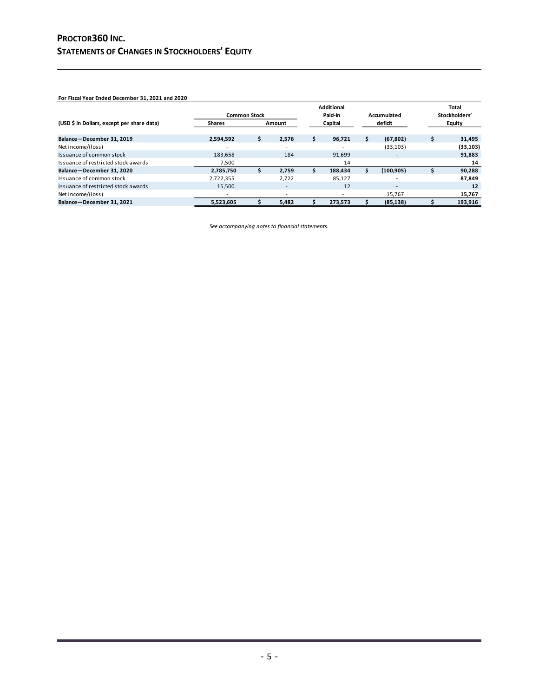# **PROCTOR360 INC. STATEMENTS OF CHANGES IN STOCKHOLDERS' EQUITY**

#### **For Fiscal Year Ended December 31, 2021 and 2020**

|                                            |               | <b>Common Stock</b> |                          |    | <b>Additional</b><br>Paid-In |    | Accumulated              | Total<br>Stockholders' |        |
|--------------------------------------------|---------------|---------------------|--------------------------|----|------------------------------|----|--------------------------|------------------------|--------|
| (USD \$ in Dollars, except per share data) | <b>Shares</b> | Amount              |                          |    |                              |    | deficit<br>Capital       |                        | Equity |
| Balance-December 31, 2019                  | 2.594.592     | \$                  | 2,576                    | Ś. | 96.721                       | \$ | (67, 802)                | \$<br>31,495           |        |
| Net income/(loss)                          |               |                     | $\overline{\phantom{a}}$ |    | $\overline{\phantom{a}}$     |    | (33, 103)                | (33, 103)              |        |
| Issuance of common stock                   | 183,658       |                     | 184                      |    | 91,699                       |    | $\overline{\phantom{a}}$ | 91,883                 |        |
| Issuance of restricted stock awards        | 7.500         |                     |                          |    | 14                           |    |                          | 14                     |        |
| Balance-December 31, 2020                  | 2.785.750     |                     | 2.759                    |    | 188,434                      |    | (100, 905)               | 90,288                 |        |
| Issuance of common stock                   | 2,722,355     |                     | 2,722                    |    | 85,127                       |    |                          | 87,849                 |        |
| Issuance of restricted stock awards        | 15,500        |                     | $\sim$                   |    | 12                           |    | $\overline{\phantom{a}}$ | 12                     |        |
| Net income/(loss)                          |               |                     | $\overline{\phantom{a}}$ |    | $\overline{\phantom{0}}$     |    | 15.767                   | 15,767                 |        |
| Balance-December 31, 2021                  | 5.523.605     |                     | 5,482                    |    | 273.573                      |    | (85, 138)                | 193,916                |        |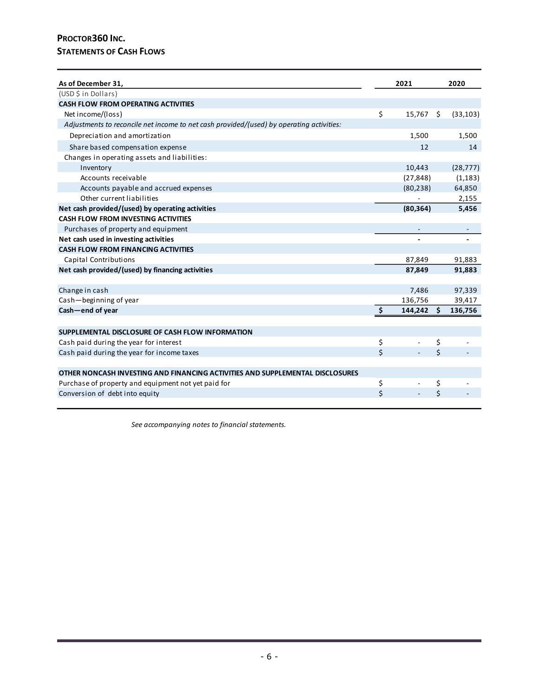# **PROCTOR360 INC. STATEMENTS OF CASH FLOWS**

| As of December 31,                                                                       |    | 2021      |    | 2020      |
|------------------------------------------------------------------------------------------|----|-----------|----|-----------|
| (USD \$ in Dollars)                                                                      |    |           |    |           |
| <b>CASH FLOW FROM OPERATING ACTIVITIES</b>                                               |    |           |    |           |
| Net income/(loss)                                                                        | \$ | 15,767    | S. | (33, 103) |
| Adjustments to reconcile net income to net cash provided/(used) by operating activities: |    |           |    |           |
| Depreciation and amortization                                                            |    | 1,500     |    | 1,500     |
| Share based compensation expense                                                         |    | 12        |    | 14        |
| Changes in operating assets and liabilities:                                             |    |           |    |           |
| Inventory                                                                                |    | 10,443    |    | (28, 777) |
| Accounts receivable                                                                      |    | (27, 848) |    | (1, 183)  |
| Accounts payable and accrued expenses                                                    |    | (80, 238) |    | 64,850    |
| Other current liabilities                                                                |    |           |    | 2,155     |
| Net cash provided/(used) by operating activities                                         |    | (80, 364) |    | 5,456     |
| <b>CASH FLOW FROM INVESTING ACTIVITIES</b>                                               |    |           |    |           |
| Purchases of property and equipment                                                      |    |           |    |           |
| Net cash used in investing activities                                                    |    |           |    |           |
| <b>CASH FLOW FROM FINANCING ACTIVITIES</b>                                               |    |           |    |           |
| Capital Contributions                                                                    |    | 87,849    |    | 91,883    |
| Net cash provided/(used) by financing activities                                         |    | 87,849    |    | 91,883    |
|                                                                                          |    |           |    |           |
| Change in cash                                                                           |    | 7,486     |    | 97,339    |
| Cash-beginning of year                                                                   |    | 136,756   |    | 39,417    |
| Cash-end of year                                                                         | Ŝ. | 144,242   | Ś. | 136,756   |
|                                                                                          |    |           |    |           |
| SUPPLEMENTAL DISCLOSURE OF CASH FLOW INFORMATION                                         |    |           |    |           |
| Cash paid during the year for interest                                                   | \$ |           | \$ |           |
| Cash paid during the year for income taxes                                               | \$ |           | Ś  |           |
|                                                                                          |    |           |    |           |
| OTHER NONCASH INVESTING AND FINANCING ACTIVITIES AND SUPPLEMENTAL DISCLOSURES            |    |           |    |           |
| Purchase of property and equipment not yet paid for                                      | \$ |           | \$ |           |
| Conversion of debt into equity                                                           | \$ |           | \$ |           |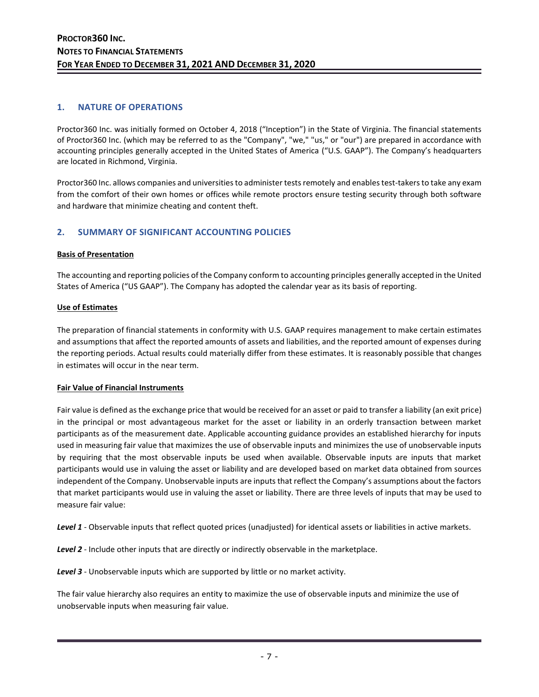# **1. NATURE OF OPERATIONS**

Proctor360 Inc. was initially formed on October 4, 2018 ("Inception") in the State of Virginia. The financial statements of Proctor360 Inc. (which may be referred to as the "Company", "we," "us," or "our") are prepared in accordance with accounting principles generally accepted in the United States of America ("U.S. GAAP"). The Company's headquarters are located in Richmond, Virginia.

Proctor360 Inc. allows companies and universities to administer tests remotely and enables test-takers to take any exam from the comfort of their own homes or offices while remote proctors ensure testing security through both software and hardware that minimize cheating and content theft.

# **2. SUMMARY OF SIGNIFICANT ACCOUNTING POLICIES**

#### **Basis of Presentation**

The accounting and reporting policies of the Company conform to accounting principles generally accepted in the United States of America ("US GAAP"). The Company has adopted the calendar year as its basis of reporting.

#### **Use of Estimates**

The preparation of financial statements in conformity with U.S. GAAP requires management to make certain estimates and assumptions that affect the reported amounts of assets and liabilities, and the reported amount of expenses during the reporting periods. Actual results could materially differ from these estimates. It is reasonably possible that changes in estimates will occur in the near term.

#### **Fair Value of Financial Instruments**

Fair value is defined as the exchange price that would be received for an asset or paid to transfer a liability (an exit price) in the principal or most advantageous market for the asset or liability in an orderly transaction between market participants as of the measurement date. Applicable accounting guidance provides an established hierarchy for inputs used in measuring fair value that maximizes the use of observable inputs and minimizes the use of unobservable inputs by requiring that the most observable inputs be used when available. Observable inputs are inputs that market participants would use in valuing the asset or liability and are developed based on market data obtained from sources independent of the Company. Unobservable inputs are inputs that reflect the Company's assumptions about the factors that market participants would use in valuing the asset or liability. There are three levels of inputs that may be used to measure fair value:

*Level 1* - Observable inputs that reflect quoted prices (unadjusted) for identical assets or liabilities in active markets.

*Level 2* - Include other inputs that are directly or indirectly observable in the marketplace.

*Level 3* - Unobservable inputs which are supported by little or no market activity.

The fair value hierarchy also requires an entity to maximize the use of observable inputs and minimize the use of unobservable inputs when measuring fair value.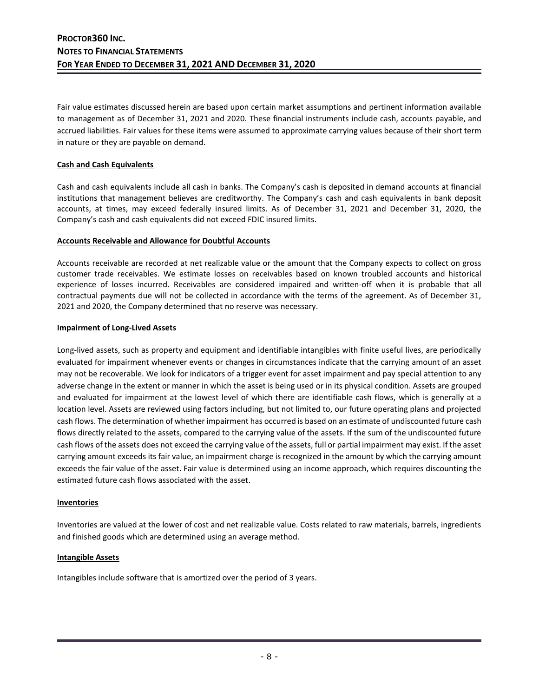Fair value estimates discussed herein are based upon certain market assumptions and pertinent information available to management as of December 31, 2021 and 2020. These financial instruments include cash, accounts payable, and accrued liabilities. Fair values for these items were assumed to approximate carrying values because of their short term in nature or they are payable on demand.

#### **Cash and Cash Equivalents**

Cash and cash equivalents include all cash in banks. The Company's cash is deposited in demand accounts at financial institutions that management believes are creditworthy. The Company's cash and cash equivalents in bank deposit accounts, at times, may exceed federally insured limits. As of December 31, 2021 and December 31, 2020, the Company's cash and cash equivalents did not exceed FDIC insured limits.

#### **Accounts Receivable and Allowance for Doubtful Accounts**

Accounts receivable are recorded at net realizable value or the amount that the Company expects to collect on gross customer trade receivables. We estimate losses on receivables based on known troubled accounts and historical experience of losses incurred. Receivables are considered impaired and written-off when it is probable that all contractual payments due will not be collected in accordance with the terms of the agreement. As of December 31, 2021 and 2020, the Company determined that no reserve was necessary.

#### **Impairment of Long-Lived Assets**

Long-lived assets, such as property and equipment and identifiable intangibles with finite useful lives, are periodically evaluated for impairment whenever events or changes in circumstances indicate that the carrying amount of an asset may not be recoverable. We look for indicators of a trigger event for asset impairment and pay special attention to any adverse change in the extent or manner in which the asset is being used or in its physical condition. Assets are grouped and evaluated for impairment at the lowest level of which there are identifiable cash flows, which is generally at a location level. Assets are reviewed using factors including, but not limited to, our future operating plans and projected cash flows. The determination of whether impairment has occurred is based on an estimate of undiscounted future cash flows directly related to the assets, compared to the carrying value of the assets. If the sum of the undiscounted future cash flows of the assets does not exceed the carrying value of the assets, full or partial impairment may exist. If the asset carrying amount exceeds its fair value, an impairment charge is recognized in the amount by which the carrying amount exceeds the fair value of the asset. Fair value is determined using an income approach, which requires discounting the estimated future cash flows associated with the asset.

#### **Inventories**

Inventories are valued at the lower of cost and net realizable value. Costs related to raw materials, barrels, ingredients and finished goods which are determined using an average method.

#### **Intangible Assets**

Intangibles include software that is amortized over the period of 3 years.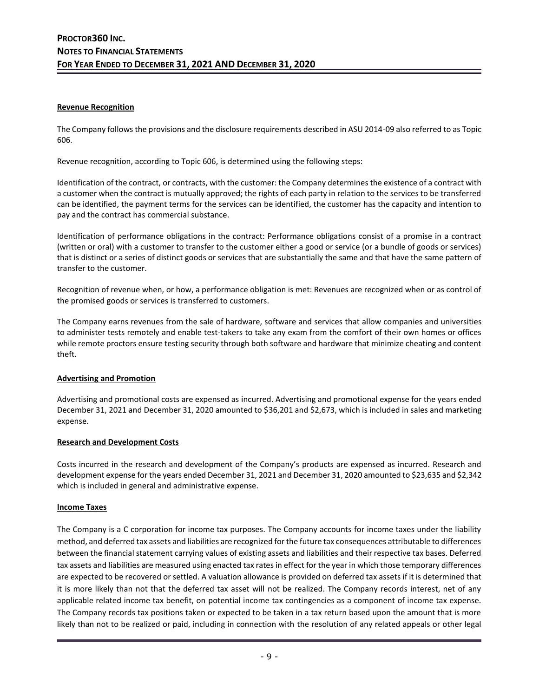# **Revenue Recognition**

The Company follows the provisions and the disclosure requirements described in ASU 2014-09 also referred to as Topic 606.

Revenue recognition, according to Topic 606, is determined using the following steps:

Identification of the contract, or contracts, with the customer: the Company determines the existence of a contract with a customer when the contract is mutually approved; the rights of each party in relation to the services to be transferred can be identified, the payment terms for the services can be identified, the customer has the capacity and intention to pay and the contract has commercial substance.

Identification of performance obligations in the contract: Performance obligations consist of a promise in a contract (written or oral) with a customer to transfer to the customer either a good or service (or a bundle of goods or services) that is distinct or a series of distinct goods or services that are substantially the same and that have the same pattern of transfer to the customer.

Recognition of revenue when, or how, a performance obligation is met: Revenues are recognized when or as control of the promised goods or services is transferred to customers.

The Company earns revenues from the sale of hardware, software and services that allow companies and universities to administer tests remotely and enable test-takers to take any exam from the comfort of their own homes or offices while remote proctors ensure testing security through both software and hardware that minimize cheating and content theft.

#### **Advertising and Promotion**

Advertising and promotional costs are expensed as incurred. Advertising and promotional expense for the years ended December 31, 2021 and December 31, 2020 amounted to \$36,201 and \$2,673, which is included in sales and marketing expense.

#### **Research and Development Costs**

Costs incurred in the research and development of the Company's products are expensed as incurred. Research and development expense for the years ended December 31, 2021 and December 31, 2020 amounted to \$23,635 and \$2,342 which is included in general and administrative expense.

#### **Income Taxes**

The Company is a C corporation for income tax purposes. The Company accounts for income taxes under the liability method, and deferred tax assets and liabilities are recognized for the future tax consequences attributable to differences between the financial statement carrying values of existing assets and liabilities and their respective tax bases. Deferred tax assets and liabilities are measured using enacted tax rates in effect for the year in which those temporary differences are expected to be recovered or settled. A valuation allowance is provided on deferred tax assets if it is determined that it is more likely than not that the deferred tax asset will not be realized. The Company records interest, net of any applicable related income tax benefit, on potential income tax contingencies as a component of income tax expense. The Company records tax positions taken or expected to be taken in a tax return based upon the amount that is more likely than not to be realized or paid, including in connection with the resolution of any related appeals or other legal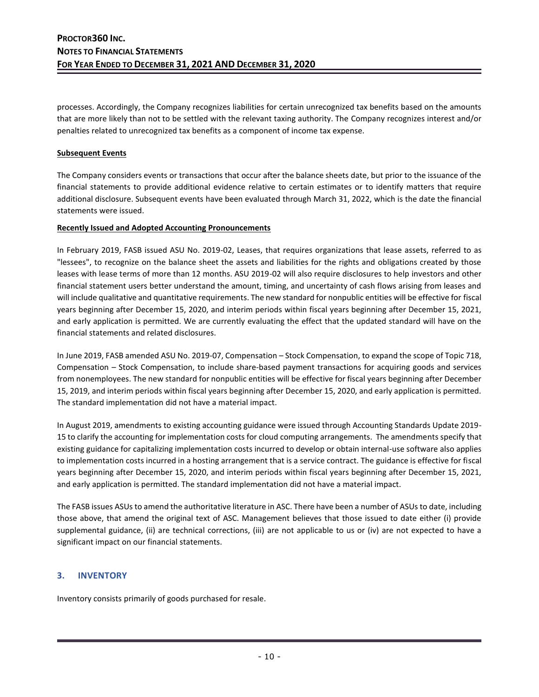processes. Accordingly, the Company recognizes liabilities for certain unrecognized tax benefits based on the amounts that are more likely than not to be settled with the relevant taxing authority. The Company recognizes interest and/or penalties related to unrecognized tax benefits as a component of income tax expense.

# **Subsequent Events**

The Company considers events or transactions that occur after the balance sheets date, but prior to the issuance of the financial statements to provide additional evidence relative to certain estimates or to identify matters that require additional disclosure. Subsequent events have been evaluated through March 31, 2022, which is the date the financial statements were issued.

# **Recently Issued and Adopted Accounting Pronouncements**

In February 2019, FASB issued ASU No. 2019-02, Leases, that requires organizations that lease assets, referred to as "lessees", to recognize on the balance sheet the assets and liabilities for the rights and obligations created by those leases with lease terms of more than 12 months. ASU 2019-02 will also require disclosures to help investors and other financial statement users better understand the amount, timing, and uncertainty of cash flows arising from leases and will include qualitative and quantitative requirements. The new standard for nonpublic entities will be effective for fiscal years beginning after December 15, 2020, and interim periods within fiscal years beginning after December 15, 2021, and early application is permitted. We are currently evaluating the effect that the updated standard will have on the financial statements and related disclosures.

In June 2019, FASB amended ASU No. 2019-07, Compensation – Stock Compensation, to expand the scope of Topic 718, Compensation – Stock Compensation, to include share-based payment transactions for acquiring goods and services from nonemployees. The new standard for nonpublic entities will be effective for fiscal years beginning after December 15, 2019, and interim periods within fiscal years beginning after December 15, 2020, and early application is permitted. The standard implementation did not have a material impact.

In August 2019, amendments to existing accounting guidance were issued through Accounting Standards Update 2019- 15 to clarify the accounting for implementation costs for cloud computing arrangements. The amendments specify that existing guidance for capitalizing implementation costs incurred to develop or obtain internal-use software also applies to implementation costs incurred in a hosting arrangement that is a service contract. The guidance is effective for fiscal years beginning after December 15, 2020, and interim periods within fiscal years beginning after December 15, 2021, and early application is permitted. The standard implementation did not have a material impact.

The FASB issues ASUs to amend the authoritative literature in ASC. There have been a number of ASUs to date, including those above, that amend the original text of ASC. Management believes that those issued to date either (i) provide supplemental guidance, (ii) are technical corrections, (iii) are not applicable to us or (iv) are not expected to have a significant impact on our financial statements.

# **3. INVENTORY**

Inventory consists primarily of goods purchased for resale.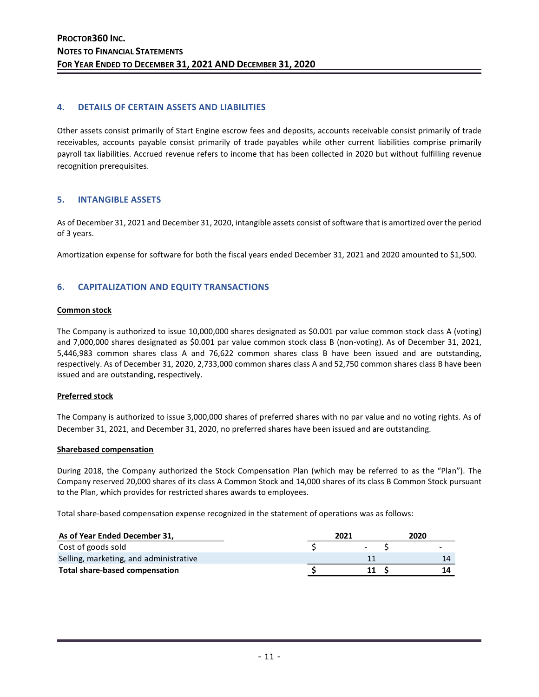# **4. DETAILS OF CERTAIN ASSETS AND LIABILITIES**

Other assets consist primarily of Start Engine escrow fees and deposits, accounts receivable consist primarily of trade receivables, accounts payable consist primarily of trade payables while other current liabilities comprise primarily payroll tax liabilities. Accrued revenue refers to income that has been collected in 2020 but without fulfilling revenue recognition prerequisites.

# **5. INTANGIBLE ASSETS**

As of December 31, 2021 and December 31, 2020, intangible assets consist of software that is amortized over the period of 3 years.

Amortization expense for software for both the fiscal years ended December 31, 2021 and 2020 amounted to \$1,500.

# **6. CAPITALIZATION AND EQUITY TRANSACTIONS**

#### **Common stock**

The Company is authorized to issue 10,000,000 shares designated as \$0.001 par value common stock class A (voting) and 7,000,000 shares designated as \$0.001 par value common stock class B (non-voting). As of December 31, 2021, 5,446,983 common shares class A and 76,622 common shares class B have been issued and are outstanding, respectively. As of December 31, 2020, 2,733,000 common shares class A and 52,750 common shares class B have been issued and are outstanding, respectively.

#### **Preferred stock**

The Company is authorized to issue 3,000,000 shares of preferred shares with no par value and no voting rights. As of December 31, 2021, and December 31, 2020, no preferred shares have been issued and are outstanding.

#### **Sharebased compensation**

During 2018, the Company authorized the Stock Compensation Plan (which may be referred to as the "Plan"). The Company reserved 20,000 shares of its class A Common Stock and 14,000 shares of its class B Common Stock pursuant to the Plan, which provides for restricted shares awards to employees.

Total share-based compensation expense recognized in the statement of operations was as follows:

| As of Year Ended December 31,          | 2021 |        | 2020 |  |
|----------------------------------------|------|--------|------|--|
| Cost of goods sold                     |      | $\sim$ |      |  |
| Selling, marketing, and administrative |      |        |      |  |
| Total share-based compensation         |      |        |      |  |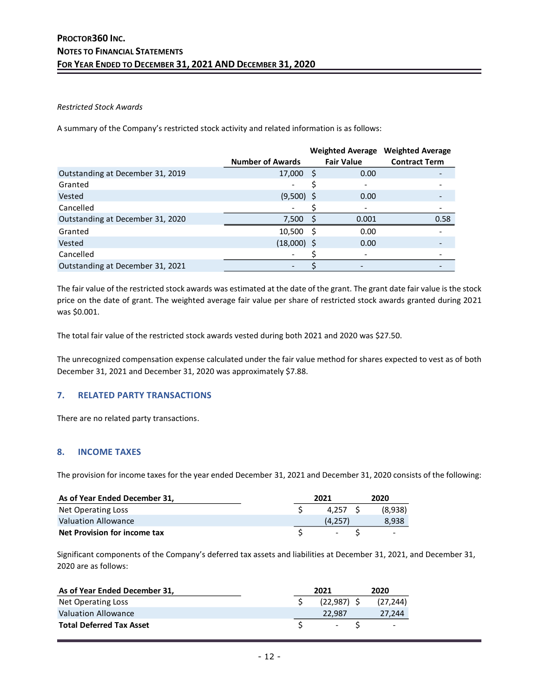#### *Restricted Stock Awards*

A summary of the Company's restricted stock activity and related information is as follows:

|                                  |                         | <b>Weighted Average</b> |       | <b>Weighted Average</b> |
|----------------------------------|-------------------------|-------------------------|-------|-------------------------|
|                                  | <b>Number of Awards</b> | <b>Fair Value</b>       |       | <b>Contract Term</b>    |
| Outstanding at December 31, 2019 | $17,000 \quad$ \$       |                         | 0.00  |                         |
| Granted                          |                         |                         |       |                         |
| Vested                           | $(9,500)$ \$            |                         | 0.00  |                         |
| Cancelled                        |                         |                         |       |                         |
| Outstanding at December 31, 2020 | 7,500                   |                         | 0.001 | 0.58                    |
| Granted                          | 10,500                  | - S                     | 0.00  |                         |
| Vested                           | $(18,000)$ \$           |                         | 0.00  |                         |
| Cancelled                        |                         |                         |       |                         |
| Outstanding at December 31, 2021 |                         |                         |       |                         |

The fair value of the restricted stock awards was estimated at the date of the grant. The grant date fair value is the stock price on the date of grant. The weighted average fair value per share of restricted stock awards granted during 2021 was \$0.001.

The total fair value of the restricted stock awards vested during both 2021 and 2020 was \$27.50.

The unrecognized compensation expense calculated under the fair value method for shares expected to vest as of both December 31, 2021 and December 31, 2020 was approximately \$7.88.

#### **7. RELATED PARTY TRANSACTIONS**

There are no related party transactions.

# **8. INCOME TAXES**

The provision for income taxes for the year ended December 31, 2021 and December 31, 2020 consists of the following:

| As of Year Ended December 31, | 2021                     | 2020    |
|-------------------------------|--------------------------|---------|
| Net Operating Loss            | 4.257 S                  | (8,938) |
| <b>Valuation Allowance</b>    | (4.257)                  | 8,938   |
| Net Provision for income tax  | $\overline{\phantom{a}}$ | -       |

Significant components of the Company's deferred tax assets and liabilities at December 31, 2021, and December 31, 2020 are as follows:

| As of Year Ended December 31,   | 2021          | 2020     |  |  |
|---------------------------------|---------------|----------|--|--|
| Net Operating Loss              | $(22.987)$ \$ | (27.244) |  |  |
| <b>Valuation Allowance</b>      | 22.987        | 27,244   |  |  |
| <b>Total Deferred Tax Asset</b> |               |          |  |  |